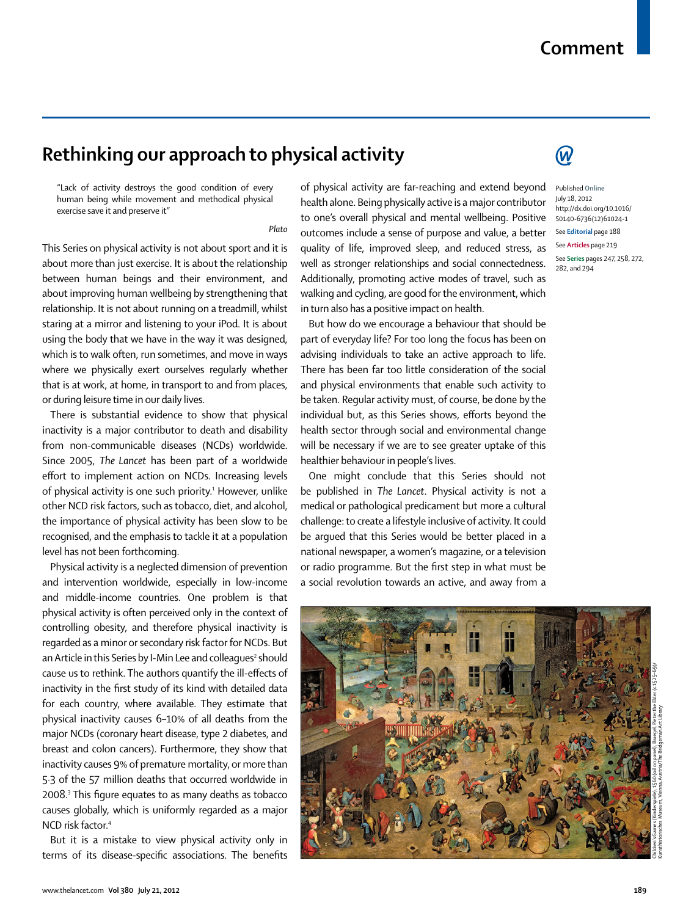## **Rethinking our approach to physical activity**

"Lack of activity destroys the good condition of every human being while movement and methodical physical exercise save it and preserve it"

## *Plato*

This Series on physical activity is not about sport and it is about more than just exercise. It is about the relationship between human beings and their environment, and about improving human wellbeing by strengthening that relationship. It is not about running on a treadmill, whilst staring at a mirror and listening to your iPod. It is about using the body that we have in the way it was designed, which is to walk often, run sometimes, and move in ways where we physically exert ourselves regularly whether that is at work, at home, in transport to and from places, or during leisure time in our daily lives.

There is substantial evidence to show that physical inactivity is a major contributor to death and disability from non-communicable diseases (NCDs) worldwide. Since 2005, *The Lancet* has been part of a worldwide effort to implement action on NCDs. Increasing levels of physical activity is one such priority.<del>'</del> However, unlike other NCD risk factors, such as tobacco, diet, and alcohol, the importance of physical activity has been slow to be recognised, and the emphasis to tackle it at a population level has not been forthcoming.

Physical activity is a neglected dimension of prevention and intervention worldwide, especially in low-income and middle-income countries. One problem is that physical activity is often perceived only in the context of controlling obesity, and therefore physical inactivity is regarded as a minor or secondary risk factor for NCDs. But an Article in this Series by I-Min Lee and colleagues<sup>2</sup> should cause us to rethink. The authors quantify the ill-effects of inactivity in the first study of its kind with detailed data for each country, where available. They estimate that physical inactivity causes 6–10% of all deaths from the major NCDs (coronary heart disease, type 2 diabetes, and breast and colon cancers). Furthermore, they show that inactivity causes 9% of premature mortality, or more than 5·3 of the 57 million deaths that occurred worldwide in 2008. $^{\tiny 3}$  This figure equates to as many deaths as tobacco causes globally, which is uniformly regarded as a major NCD risk factor.4

But it is a mistake to view physical activity only in terms of its disease-specific associations. The benefits of physical activity are far-reaching and extend beyond health alone. Being physically active is a major contributor to one's overall physical and mental wellbeing. Positive outcomes include a sense of purpose and value, a better quality of life, improved sleep, and reduced stress, as well as stronger relationships and social connectedness. Additionally, promoting active modes of travel, such as walking and cycling, are good for the environment, which in turn also has a positive impact on health.

But how do we encourage a behaviour that should be part of everyday life? For too long the focus has been on advising individuals to take an active approach to life. There has been far too little consideration of the social and physical environments that enable such activity to be taken. Regular activity must, of course, be done by the individual but, as this Series shows, efforts beyond the health sector through social and environmental change will be necessary if we are to see greater uptake of this healthier behaviour in people's lives.

One might conclude that this Series should not be published in *The Lancet*. Physical activity is not a medical or pathological predicament but more a cultural challenge: to create a lifestyle inclusive of activity. It could be argued that this Series would be better placed in a national newspaper, a women's magazine, or a television or radio programme. But the first step in what must be a social revolution towards an active, and away from a



## $\bm{\mathcal{W}}$

**Comment**

Published **Online** July 18, 2012 http://dx.doi.org/10.1016/ S0140-6736(12)61024-1 See **Editorial** page 188 See **Articles** page 219 See **Series** pages 247, 258, 272, 282, and 294